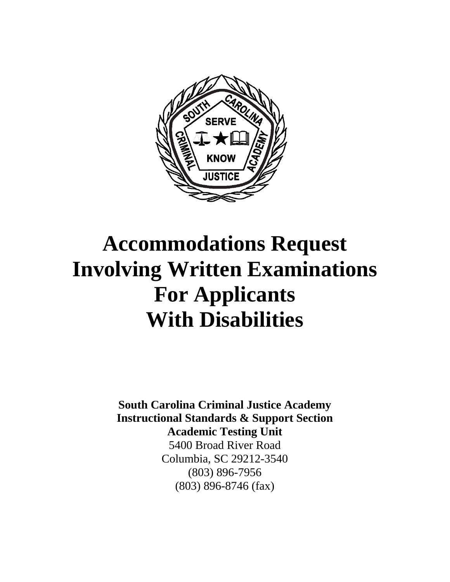

# **Accommodations Request Involving Written Examinations For Applicants With Disabilities**

**South Carolina Criminal Justice Academy Instructional Standards & Support Section Academic Testing Unit**  5400 Broad River Road Columbia, SC 29212-3540 (803) 896-7956 (803) 896-8746 (fax)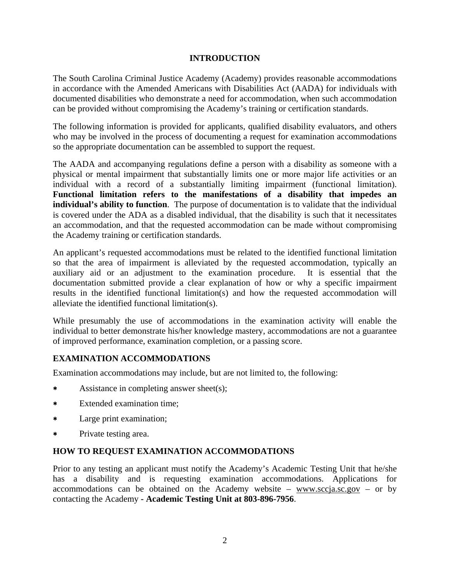### **INTRODUCTION**

The South Carolina Criminal Justice Academy (Academy) provides reasonable accommodations in accordance with the Amended Americans with Disabilities Act (AADA) for individuals with documented disabilities who demonstrate a need for accommodation, when such accommodation can be provided without compromising the Academy's training or certification standards.

The following information is provided for applicants, qualified disability evaluators, and others who may be involved in the process of documenting a request for examination accommodations so the appropriate documentation can be assembled to support the request.

The AADA and accompanying regulations define a person with a disability as someone with a physical or mental impairment that substantially limits one or more major life activities or an individual with a record of a substantially limiting impairment (functional limitation). **Functional limitation refers to the manifestations of a disability that impedes an individual's ability to function**. The purpose of documentation is to validate that the individual is covered under the ADA as a disabled individual, that the disability is such that it necessitates an accommodation, and that the requested accommodation can be made without compromising the Academy training or certification standards.

An applicant's requested accommodations must be related to the identified functional limitation so that the area of impairment is alleviated by the requested accommodation, typically an auxiliary aid or an adjustment to the examination procedure. It is essential that the documentation submitted provide a clear explanation of how or why a specific impairment results in the identified functional limitation(s) and how the requested accommodation will alleviate the identified functional limitation(s).

While presumably the use of accommodations in the examination activity will enable the individual to better demonstrate his/her knowledge mastery, accommodations are not a guarantee of improved performance, examination completion, or a passing score.

## **EXAMINATION ACCOMMODATIONS**

Examination accommodations may include, but are not limited to, the following:

- Assistance in completing answer sheet(s);
- Extended examination time;
- Large print examination;
- Private testing area.

## **HOW TO REQUEST EXAMINATION ACCOMMODATIONS**

Prior to any testing an applicant must notify the Academy's Academic Testing Unit that he/she has a disability and is requesting examination accommodations. Applications for accommodations can be obtained on the Academy website –  $\frac{www.sccja.sc.gov - or by}{$ contacting the Academy **- Academic Testing Unit at 803-896-7956**.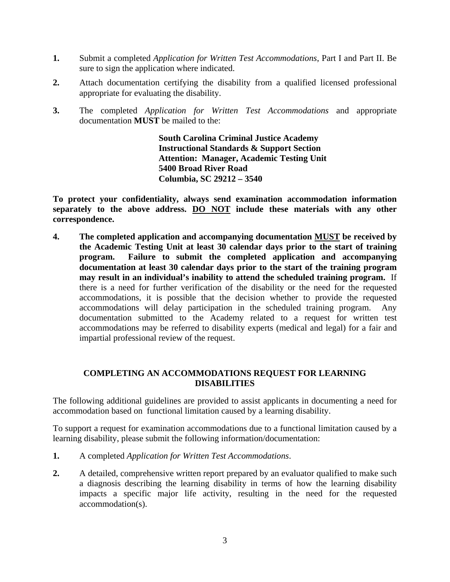- **1.** Submit a completed *Application for Written Test Accommodations*, Part I and Part II. Be sure to sign the application where indicated.
- **2.** Attach documentation certifying the disability from a qualified licensed professional appropriate for evaluating the disability.
- **3.** The completed *Application for Written Test Accommodations* and appropriate documentation **MUST** be mailed to the:

**South Carolina Criminal Justice Academy Instructional Standards & Support Section Attention: Manager, Academic Testing Unit 5400 Broad River Road Columbia, SC 29212 – 3540** 

**To protect your confidentiality, always send examination accommodation information separately to the above address. DO NOT include these materials with any other correspondence.** 

**4. The completed application and accompanying documentation MUST be received by the Academic Testing Unit at least 30 calendar days prior to the start of training program. Failure to submit the completed application and accompanying documentation at least 30 calendar days prior to the start of the training program may result in an individual's inability to attend the scheduled training program.** If there is a need for further verification of the disability or the need for the requested accommodations, it is possible that the decision whether to provide the requested accommodations will delay participation in the scheduled training program. Any documentation submitted to the Academy related to a request for written test accommodations may be referred to disability experts (medical and legal) for a fair and impartial professional review of the request.

## **COMPLETING AN ACCOMMODATIONS REQUEST FOR LEARNING DISABILITIES**

The following additional guidelines are provided to assist applicants in documenting a need for accommodation based on functional limitation caused by a learning disability.

To support a request for examination accommodations due to a functional limitation caused by a learning disability, please submit the following information/documentation:

- **1.** A completed *Application for Written Test Accommodations*.
- **2.** A detailed, comprehensive written report prepared by an evaluator qualified to make such a diagnosis describing the learning disability in terms of how the learning disability impacts a specific major life activity, resulting in the need for the requested accommodation(s).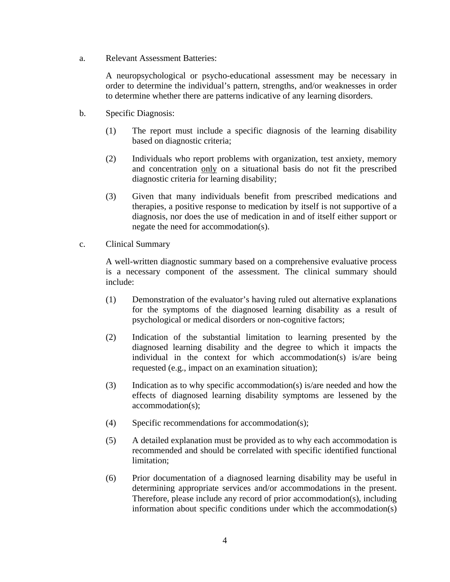a. Relevant Assessment Batteries:

A neuropsychological or psycho-educational assessment may be necessary in order to determine the individual's pattern, strengths, and/or weaknesses in order to determine whether there are patterns indicative of any learning disorders.

- b. Specific Diagnosis:
	- (1) The report must include a specific diagnosis of the learning disability based on diagnostic criteria;
	- (2) Individuals who report problems with organization, test anxiety, memory and concentration only on a situational basis do not fit the prescribed diagnostic criteria for learning disability;
	- (3) Given that many individuals benefit from prescribed medications and therapies, a positive response to medication by itself is not supportive of a diagnosis, nor does the use of medication in and of itself either support or negate the need for accommodation(s).
- c. Clinical Summary

A well-written diagnostic summary based on a comprehensive evaluative process is a necessary component of the assessment. The clinical summary should include:

- (1) Demonstration of the evaluator's having ruled out alternative explanations for the symptoms of the diagnosed learning disability as a result of psychological or medical disorders or non-cognitive factors;
- (2) Indication of the substantial limitation to learning presented by the diagnosed learning disability and the degree to which it impacts the individual in the context for which accommodation(s) is/are being requested (e.g., impact on an examination situation);
- (3) Indication as to why specific accommodation(s) is/are needed and how the effects of diagnosed learning disability symptoms are lessened by the accommodation(s);
- (4) Specific recommendations for accommodation(s);
- (5) A detailed explanation must be provided as to why each accommodation is recommended and should be correlated with specific identified functional limitation;
- (6) Prior documentation of a diagnosed learning disability may be useful in determining appropriate services and/or accommodations in the present. Therefore, please include any record of prior accommodation(s), including information about specific conditions under which the accommodation(s)